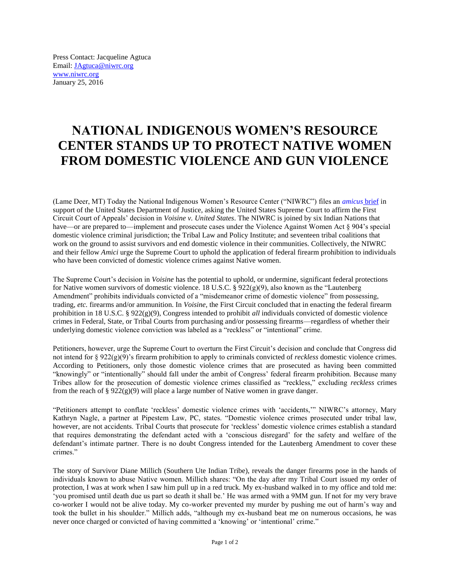Press Contact: Jacqueline Agtuca Email: [JAgtuca@niwrc.org](mailto:JAgtuca@niwrc.org) [www.niwrc.org](http://www.niwrc.org/) January 25, 2016

## **NATIONAL INDIGENOUS WOMEN'S RESOURCE CENTER STANDS UP TO PROTECT NATIVE WOMEN FROM DOMESTIC VIOLENCE AND GUN VIOLENCE**

(Lame Deer, MT) Today the National Indigenous Women's Resource Center ("NIWRC") files an *[amicus](http://mailer.niwrc.org/lt.php?id=fh8LVgcFUxgFBFVOBVQA)* brief in support of the United States Department of Justice, asking the United States Supreme Court to affirm the First Circuit Court of Appeals' decision in *Voisine v. United States*. The NIWRC is joined by six Indian Nations that have—or are prepared to—implement and prosecute cases under the Violence Against Women Act § 904's special domestic violence criminal jurisdiction; the Tribal Law and Policy Institute; and seventeen tribal coalitions that work on the ground to assist survivors and end domestic violence in their communities. Collectively, the NIWRC and their fellow *Amici* urge the Supreme Court to uphold the application of federal firearm prohibition to individuals who have been convicted of domestic violence crimes against Native women.

The Supreme Court's decision in *Voisine* has the potential to uphold, or undermine, significant federal protections for Native women survivors of domestic violence. 18 U.S.C. §  $922(g)(9)$ , also known as the "Lautenberg" Amendment" prohibits individuals convicted of a "misdemeanor crime of domestic violence" from possessing, trading, *etc.* firearms and/or ammunition. In *Voisine*, the First Circuit concluded that in enacting the federal firearm prohibition in 18 U.S.C. § 922(g)(9), Congress intended to prohibit *all* individuals convicted of domestic violence crimes in Federal, State, or Tribal Courts from purchasing and/or possessing firearms—regardless of whether their underlying domestic violence conviction was labeled as a "reckless" or "intentional" crime.

Petitioners, however, urge the Supreme Court to overturn the First Circuit's decision and conclude that Congress did not intend for § 922(g)(9)'s firearm prohibition to apply to criminals convicted of *reckless* domestic violence crimes. According to Petitioners, only those domestic violence crimes that are prosecuted as having been committed "knowingly" or "intentionally" should fall under the ambit of Congress' federal firearm prohibition. Because many Tribes allow for the prosecution of domestic violence crimes classified as "reckless," excluding *reckless* crimes from the reach of §  $922(g)(9)$  will place a large number of Native women in grave danger.

"Petitioners attempt to conflate 'reckless' domestic violence crimes with 'accidents,'" NIWRC's attorney, Mary Kathryn Nagle, a partner at Pipestem Law, PC, states. "Domestic violence crimes prosecuted under tribal law, however, are not accidents. Tribal Courts that prosecute for 'reckless' domestic violence crimes establish a standard that requires demonstrating the defendant acted with a 'conscious disregard' for the safety and welfare of the defendant's intimate partner. There is no doubt Congress intended for the Lautenberg Amendment to cover these crimes."

The story of Survivor Diane Millich (Southern Ute Indian Tribe), reveals the danger firearms pose in the hands of individuals known to abuse Native women. Millich shares: "On the day after my Tribal Court issued my order of protection, I was at work when I saw him pull up in a red truck. My ex-husband walked in to my office and told me: 'you promised until death due us part so death it shall be.' He was armed with a 9MM gun. If not for my very brave co-worker I would not be alive today. My co-worker prevented my murder by pushing me out of harm's way and took the bullet in his shoulder." Millich adds, "although my ex-husband beat me on numerous occasions, he was never once charged or convicted of having committed a 'knowing' or 'intentional' crime."